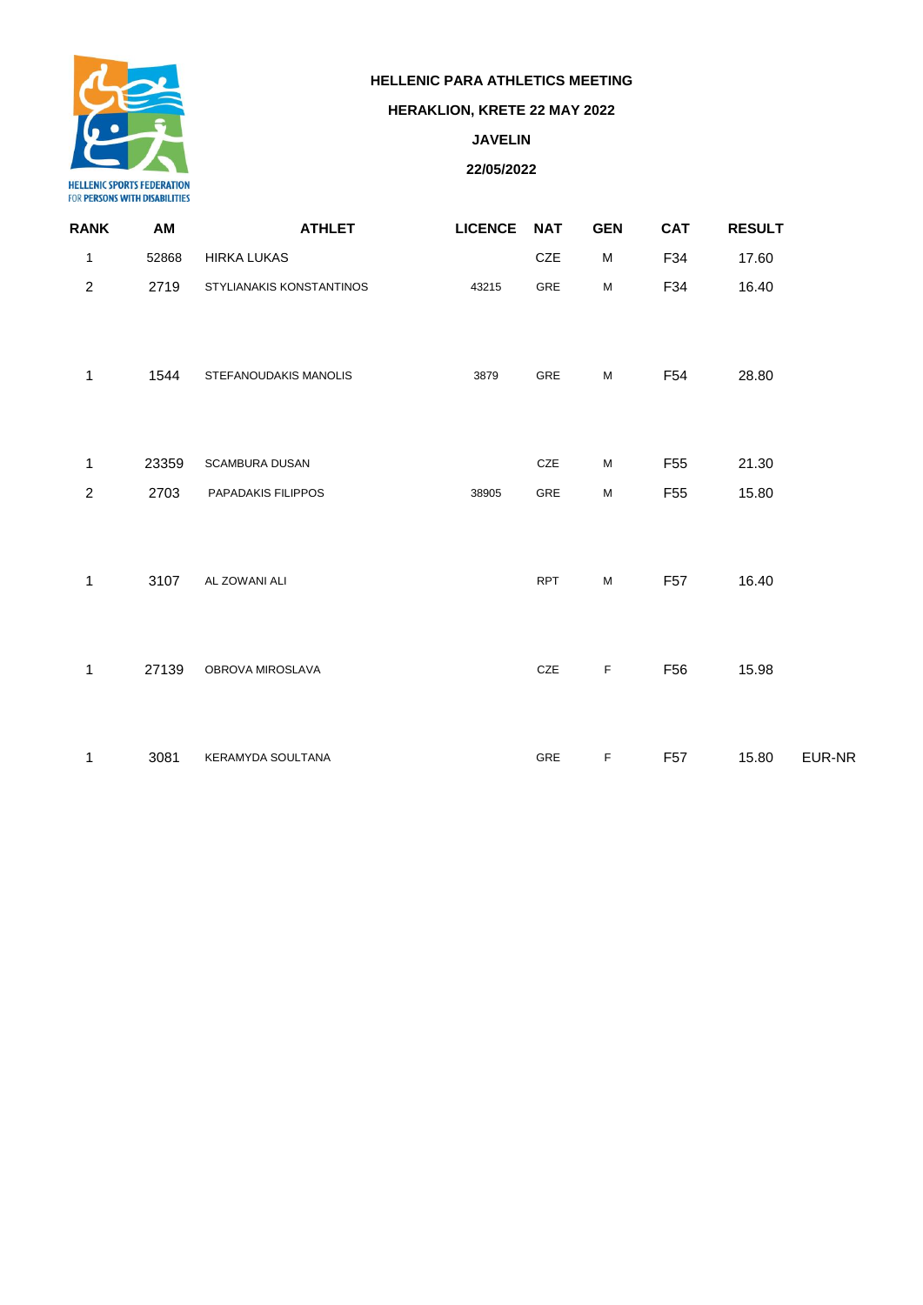

### **HERAKLION, KRETE 22 MAY 2022**

### **JAVELIN**

| <b>RANK</b>    | AM    | <b>ATHLET</b>            | <b>LICENCE</b> | <b>NAT</b> | <b>GEN</b>  | <b>CAT</b>      | <b>RESULT</b> |        |
|----------------|-------|--------------------------|----------------|------------|-------------|-----------------|---------------|--------|
| $\mathbf{1}$   | 52868 | <b>HIRKA LUKAS</b>       |                | CZE        | M           | F34             | 17.60         |        |
| $\overline{2}$ | 2719  | STYLIANAKIS KONSTANTINOS | 43215          | GRE        | M           | F34             | 16.40         |        |
| 1              | 1544  | STEFANOUDAKIS MANOLIS    | 3879           | GRE        | М           | F54             | 28.80         |        |
| $\mathbf{1}$   | 23359 | <b>SCAMBURA DUSAN</b>    |                | CZE        | M           | F <sub>55</sub> | 21.30         |        |
| $\overline{2}$ | 2703  | PAPADAKIS FILIPPOS       | 38905          | GRE        | M           | F <sub>55</sub> | 15.80         |        |
| $\mathbf{1}$   | 3107  | AL ZOWANI ALI            |                | <b>RPT</b> | M           | F57             | 16.40         |        |
| $\mathbf{1}$   | 27139 | OBROVA MIROSLAVA         |                | CZE        | $\mathsf F$ | F <sub>56</sub> | 15.98         |        |
| 1              | 3081  | <b>KERAMYDA SOULTANA</b> |                | GRE        | $\mathsf F$ | F <sub>57</sub> | 15.80         | EUR-NR |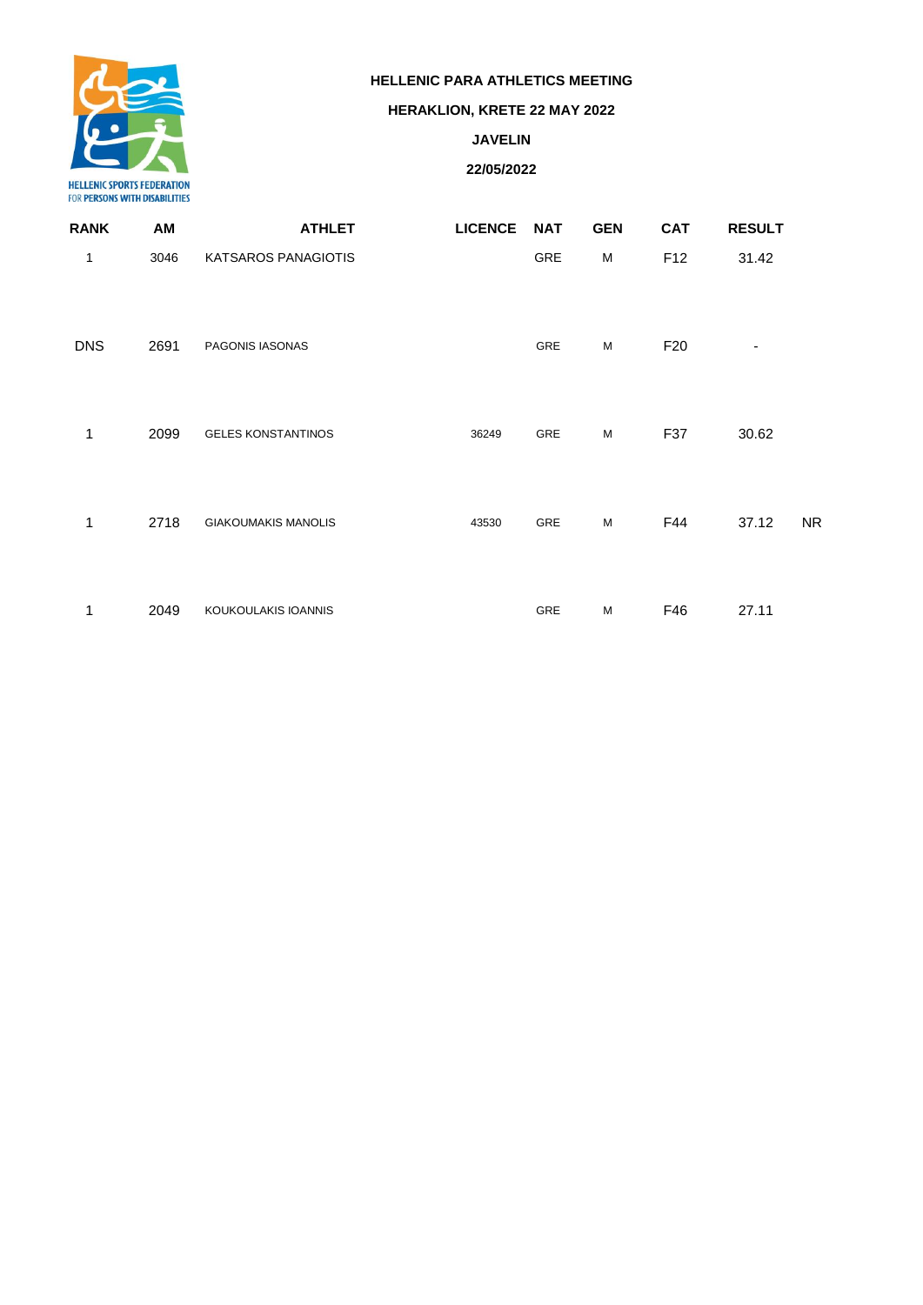

### **HERAKLION, KRETE 22 MAY 2022**

### **JAVELIN**

| <b>RANK</b>  | AM   | <b>ATHLET</b>              | <b>LICENCE</b> | <b>NAT</b> | <b>GEN</b> | <b>CAT</b>      | <b>RESULT</b> |           |
|--------------|------|----------------------------|----------------|------------|------------|-----------------|---------------|-----------|
| $\mathbf{1}$ | 3046 | KATSAROS PANAGIOTIS        |                | GRE        | M          | F <sub>12</sub> | 31.42         |           |
| <b>DNS</b>   | 2691 | PAGONIS IASONAS            |                | GRE        | М          | F <sub>20</sub> | ۰             |           |
| 1            | 2099 | <b>GELES KONSTANTINOS</b>  | 36249          | GRE        | M          | F37             | 30.62         |           |
| 1            | 2718 | <b>GIAKOUMAKIS MANOLIS</b> | 43530          | GRE        | М          | F44             | 37.12         | <b>NR</b> |
| 1            | 2049 | KOUKOULAKIS IOANNIS        |                | GRE        | M          | F46             | 27.11         |           |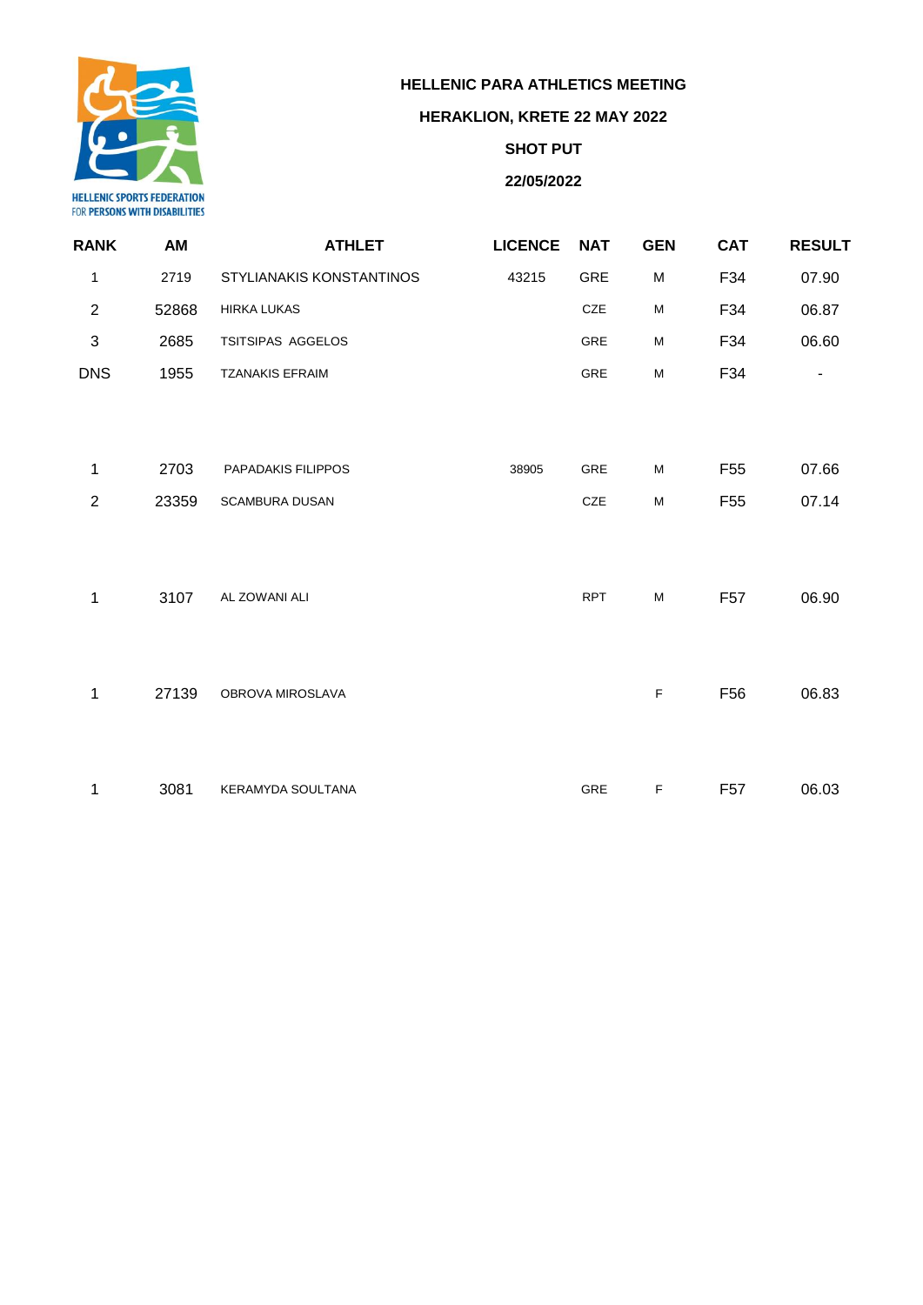

# **HERAKLION, KRETE 22 MAY 2022**

### **SHOT PUT**

| RANK           | AM    | <b>ATHLET</b>            | <b>LICENCE</b> | <b>NAT</b> | <b>GEN</b> | <b>CAT</b>      | <b>RESULT</b> |
|----------------|-------|--------------------------|----------------|------------|------------|-----------------|---------------|
| 1              | 2719  | STYLIANAKIS KONSTANTINOS | 43215          | GRE        | M          | F34             | 07.90         |
| $\overline{2}$ | 52868 | <b>HIRKA LUKAS</b>       |                | CZE        | M          | F34             | 06.87         |
| $\sqrt{3}$     | 2685  | TSITSIPAS AGGELOS        |                | GRE        | M          | F34             | 06.60         |
| <b>DNS</b>     | 1955  | <b>TZANAKIS EFRAIM</b>   |                | GRE        | M          | F34             |               |
|                |       |                          |                |            |            |                 |               |
|                |       |                          |                |            |            |                 |               |
| 1              | 2703  | PAPADAKIS FILIPPOS       | 38905          | GRE        | ${\sf M}$  | F <sub>55</sub> | 07.66         |
| $\mathbf{2}$   | 23359 | SCAMBURA DUSAN           |                | CZE        | M          | F <sub>55</sub> | 07.14         |
|                |       |                          |                |            |            |                 |               |
|                |       |                          |                |            |            |                 |               |
| 1              | 3107  | AL ZOWANI ALI            |                | <b>RPT</b> | M          | F <sub>57</sub> | 06.90         |
|                |       |                          |                |            |            |                 |               |
| 1              | 27139 | OBROVA MIROSLAVA         |                |            | F          | F <sub>56</sub> | 06.83         |
|                |       |                          |                |            |            |                 |               |
|                |       |                          |                |            |            |                 |               |
| 1              | 3081  | KERAMYDA SOULTANA        |                | GRE        | F          | F <sub>57</sub> | 06.03         |
|                |       |                          |                |            |            |                 |               |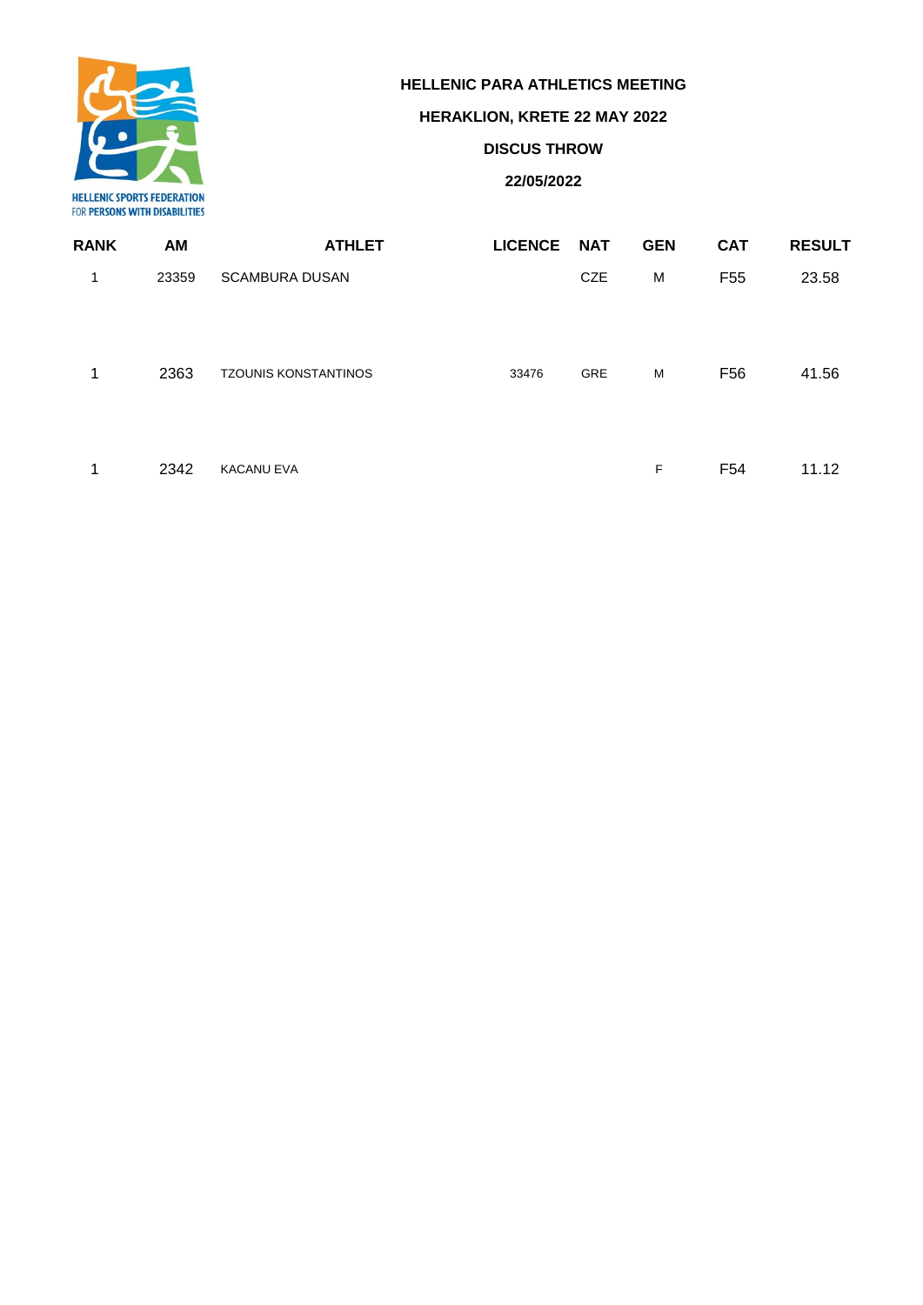

# **HERAKLION, KRETE 22 MAY 2022**

## **DISCUS THROW**

| <b>RANK</b> | AM    | <b>ATHLET</b>               | <b>LICENCE</b> | <b>NAT</b> | <b>GEN</b> | <b>CAT</b>      | <b>RESULT</b> |
|-------------|-------|-----------------------------|----------------|------------|------------|-----------------|---------------|
| 1           | 23359 | <b>SCAMBURA DUSAN</b>       |                | <b>CZE</b> | M          | F <sub>55</sub> | 23.58         |
| 1           | 2363  | <b>TZOUNIS KONSTANTINOS</b> | 33476          | GRE        | M          | F56             | 41.56         |
| 1           | 2342  | <b>KACANU EVA</b>           |                |            | F          | F54             | 11.12         |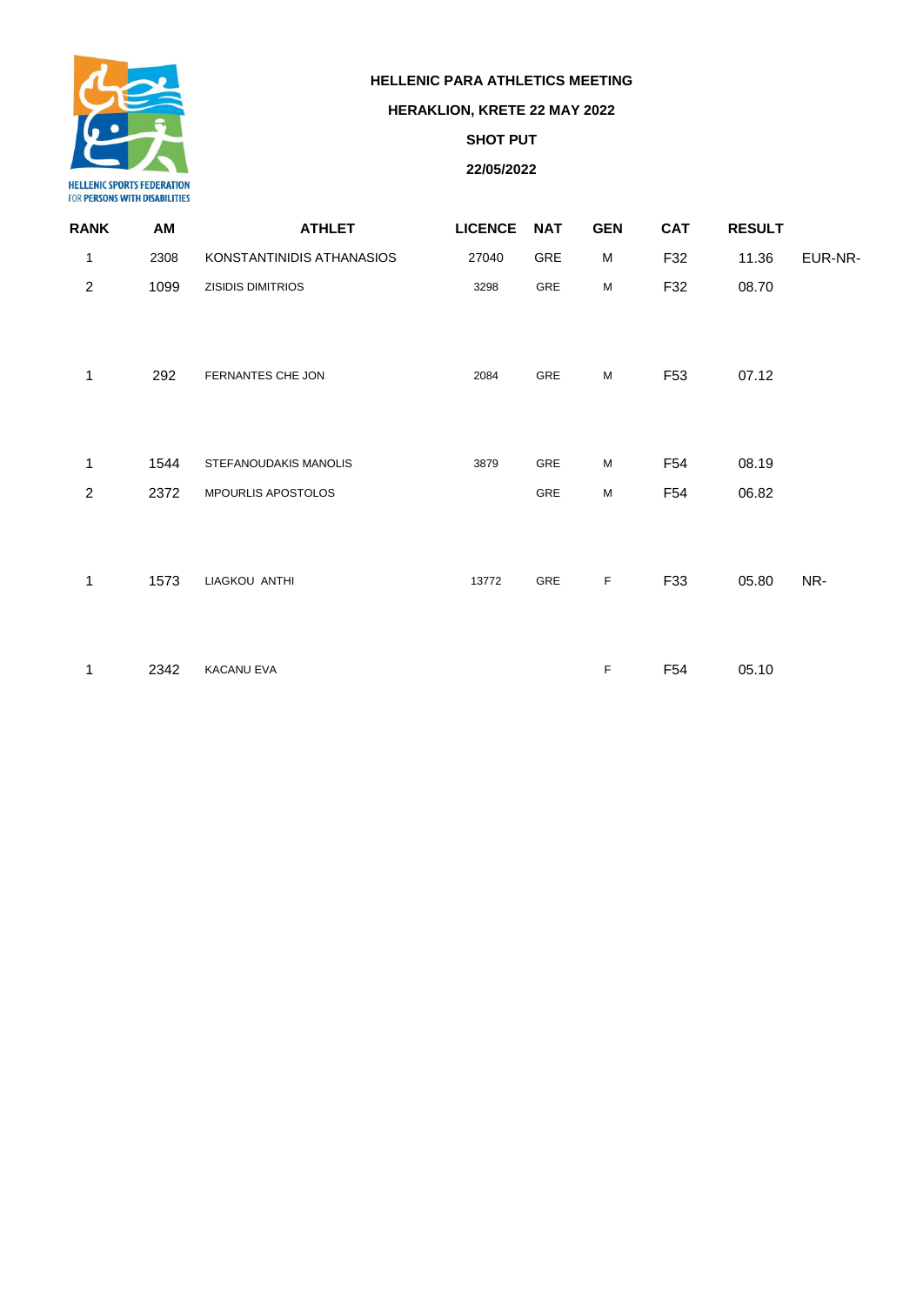

### **HERAKLION, KRETE 22 MAY 2022**

## **SHOT PUT**

| <b>RANK</b>    | AM   | <b>ATHLET</b>             | <b>LICENCE</b> | <b>NAT</b> | <b>GEN</b> | <b>CAT</b>      | <b>RESULT</b> |         |
|----------------|------|---------------------------|----------------|------------|------------|-----------------|---------------|---------|
| 1              | 2308 | KONSTANTINIDIS ATHANASIOS | 27040          | GRE        | M          | F32             | 11.36         | EUR-NR- |
| 2              | 1099 | ZISIDIS DIMITRIOS         | 3298           | GRE        | M          | F32             | 08.70         |         |
| 1              | 292  | FERNANTES CHE JON         | 2084           | GRE        | M          | F <sub>53</sub> | 07.12         |         |
| 1              | 1544 | STEFANOUDAKIS MANOLIS     | 3879           | GRE        | M          | F54             | 08.19         |         |
| $\overline{2}$ | 2372 | MPOURLIS APOSTOLOS        |                | GRE        | M          | F54             | 06.82         |         |
| 1              | 1573 | LIAGKOU ANTHI             | 13772          | GRE        | F.         | F33             | 05.80         | NR-     |
| 1              | 2342 | KACANU EVA                |                |            | F          | F54             | 05.10         |         |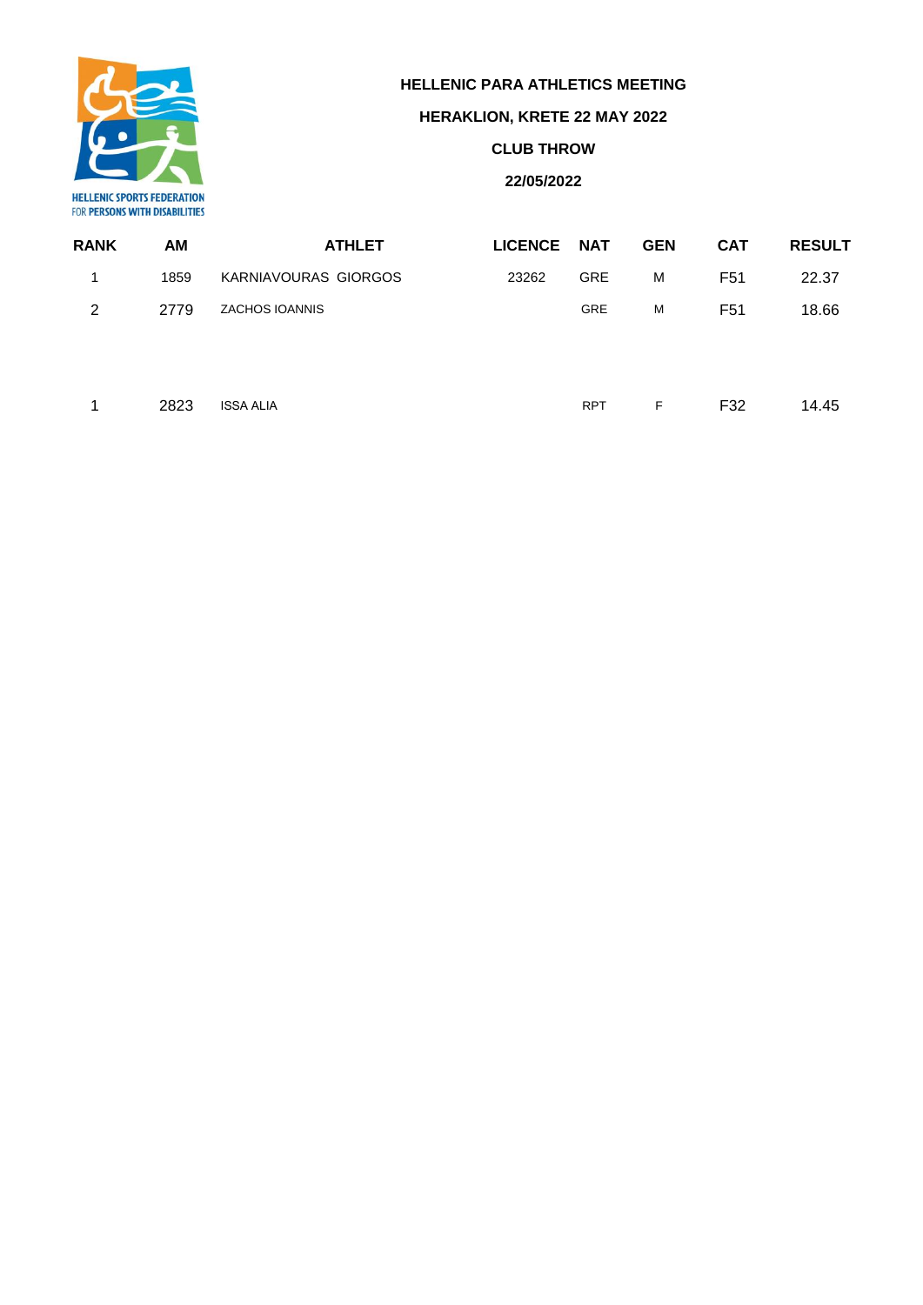

# **HERAKLION, KRETE 22 MAY 2022**

## **CLUB THROW**

| <b>RANK</b> | AM   | <b>ATHLET</b>        | <b>LICENCE</b> | NAT        | <b>GEN</b> | <b>CAT</b> | <b>RESULT</b> |
|-------------|------|----------------------|----------------|------------|------------|------------|---------------|
| 1           | 1859 | KARNIAVOURAS GIORGOS | 23262          | <b>GRE</b> | M          | F51        | 22.37         |
| 2           | 2779 | ZACHOS IOANNIS       |                | GRE        | M          | F51        | 18.66         |
|             |      |                      |                |            |            |            |               |
|             |      |                      |                |            |            |            |               |
| 1           | 2823 | <b>ISSA ALIA</b>     |                | <b>RPT</b> | F          | F32        | 14.45         |
|             |      |                      |                |            |            |            |               |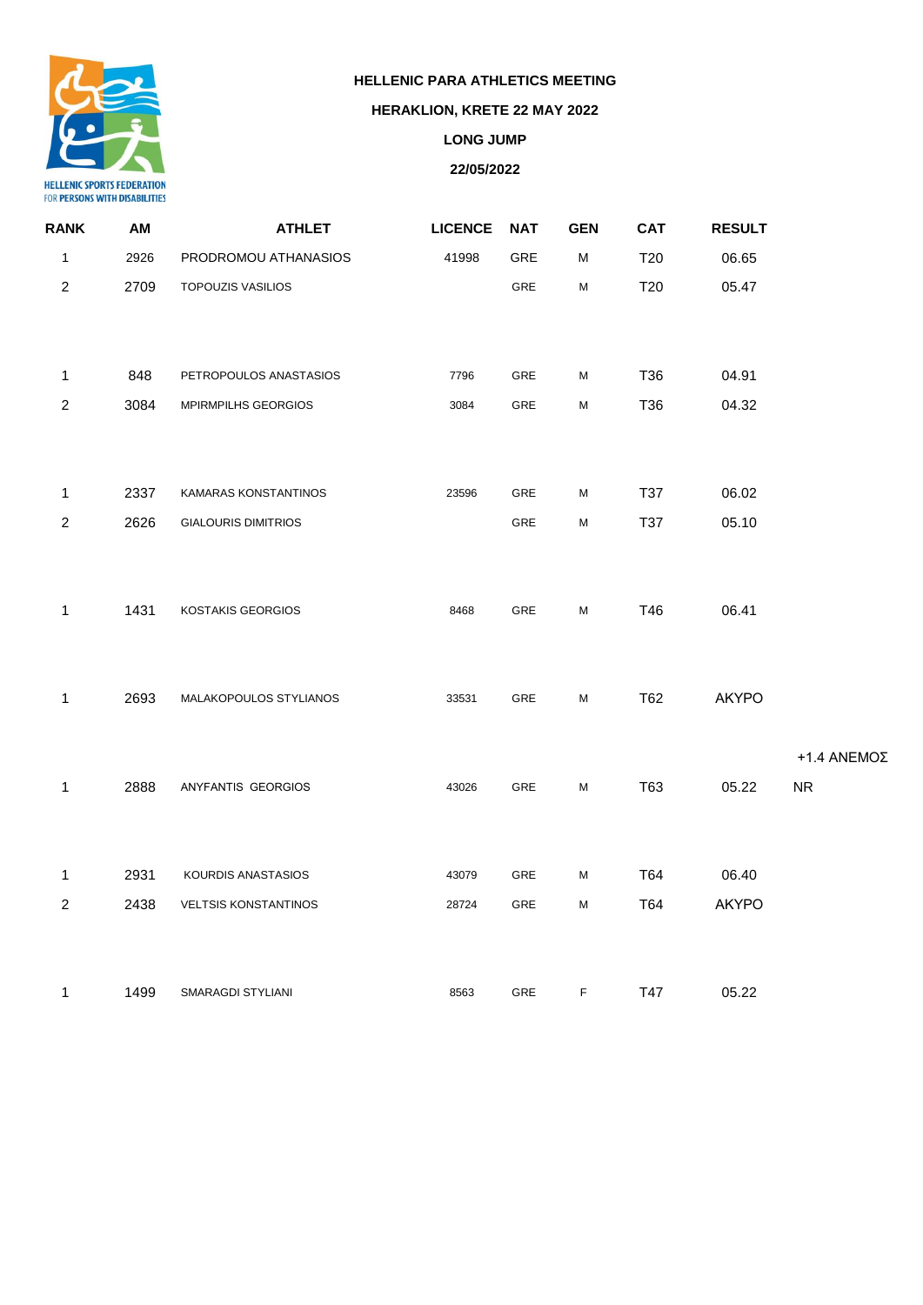



### **HERAKLION, KRETE 22 MAY 2022**

### **LONG JUMP**

| AM   | <b>ATHLET</b>               | <b>LICENCE</b> | <b>NAT</b>  | <b>GEN</b>  | <b>CAT</b>      | <b>RESULT</b> |             |
|------|-----------------------------|----------------|-------------|-------------|-----------------|---------------|-------------|
| 2926 | PRODROMOU ATHANASIOS        | 41998          | GRE         | ${\sf M}$   | T <sub>20</sub> | 06.65         |             |
| 2709 | <b>TOPOUZIS VASILIOS</b>    |                | GRE         | M           | T <sub>20</sub> | 05.47         |             |
|      |                             |                |             |             |                 |               |             |
|      |                             |                |             |             |                 |               |             |
| 848  | PETROPOULOS ANASTASIOS      | 7796           | GRE         | M           | T36             | 04.91         |             |
| 3084 | MPIRMPILHS GEORGIOS         | 3084           | GRE         | M           | <b>T36</b>      | 04.32         |             |
|      |                             |                |             |             |                 |               |             |
|      |                             |                |             |             |                 |               |             |
| 2337 | KAMARAS KONSTANTINOS        | 23596          | GRE         | M           | T37             | 06.02         |             |
| 2626 | <b>GIALOURIS DIMITRIOS</b>  |                | GRE         | M           | T37             | 05.10         |             |
|      |                             |                |             |             |                 |               |             |
|      |                             |                |             |             |                 |               |             |
| 1431 | KOSTAKIS GEORGIOS           | 8468           | GRE         | M           | T46             | 06.41         |             |
|      |                             |                |             |             |                 |               |             |
|      |                             |                |             |             |                 |               |             |
| 2693 | MALAKOPOULOS STYLIANOS      | 33531          | GRE         | M           | T62             | <b>AKYPO</b>  |             |
|      |                             |                |             |             |                 |               |             |
|      |                             |                |             |             |                 |               | +1.4 ΑΝΕΜΟΣ |
| 2888 | ANYFANTIS GEORGIOS          | 43026          | ${\sf GRE}$ | M           | T63             | 05.22         | ${\sf NR}$  |
|      |                             |                |             |             |                 |               |             |
|      |                             |                |             |             |                 |               |             |
| 2931 | KOURDIS ANASTASIOS          | 43079          | GRE         | M           | T64             | 06.40         |             |
| 2438 | <b>VELTSIS KONSTANTINOS</b> | 28724          | GRE         | M           | T64             | <b>AKYPO</b>  |             |
|      |                             |                |             |             |                 |               |             |
|      |                             |                |             |             |                 |               |             |
| 1499 | SMARAGDI STYLIANI           | 8563           | GRE         | $\mathsf F$ | T47             | 05.22         |             |
|      |                             |                |             |             |                 |               |             |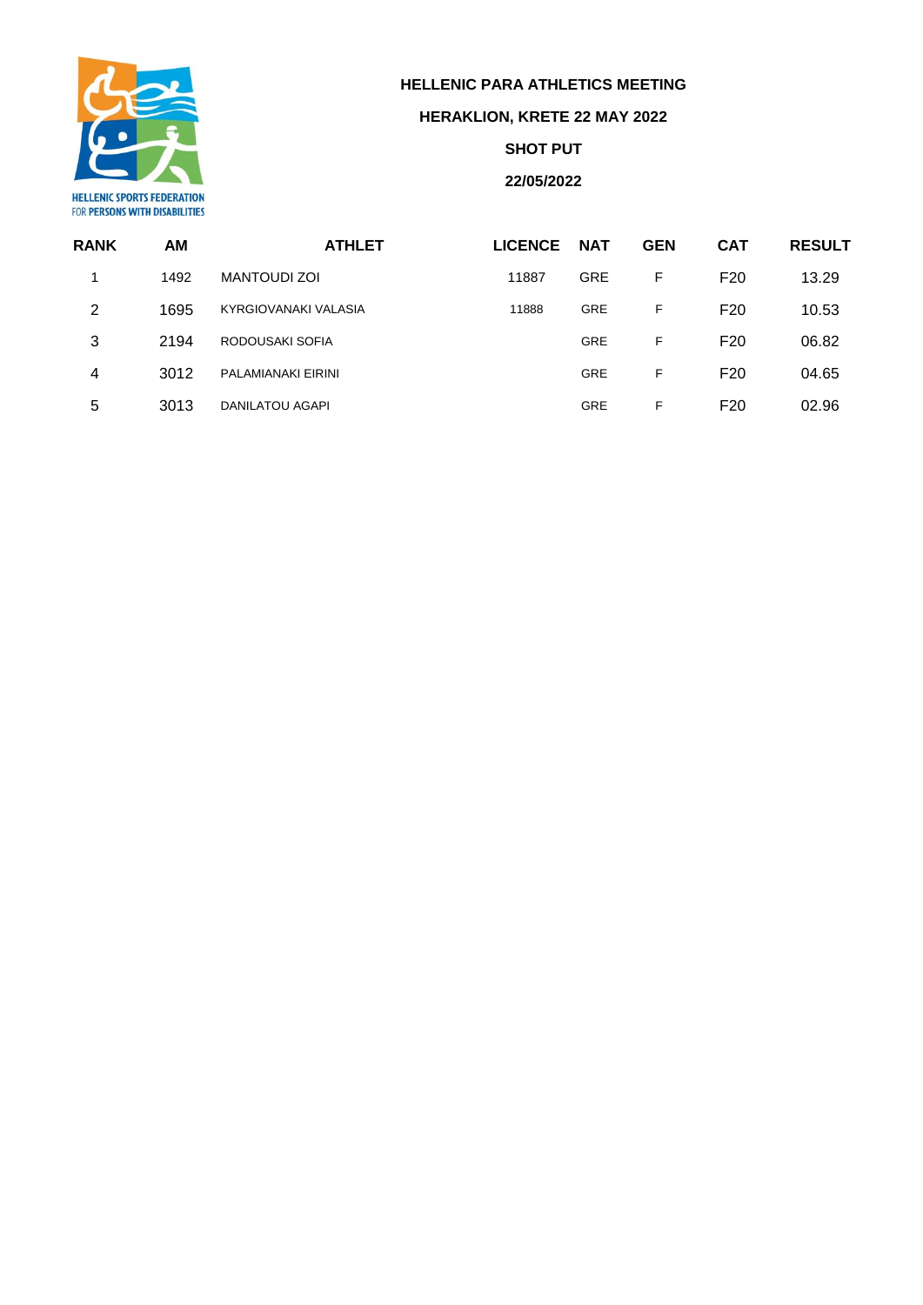

# **HERAKLION, KRETE 22 MAY 2022**

**SHOT PUT**

| <b>RANK</b> | AM   | <b>ATHLET</b>               | <b>LICENCE</b> | <b>NAT</b> | <b>GEN</b> | <b>CAT</b>      | <b>RESULT</b> |
|-------------|------|-----------------------------|----------------|------------|------------|-----------------|---------------|
|             | 1492 | MANTOUDI ZOI                | 11887          | <b>GRE</b> | F          | F <sub>20</sub> | 13.29         |
| 2           | 1695 | <b>KYRGIOVANAKI VALASIA</b> | 11888          | <b>GRE</b> | F          | F <sub>20</sub> | 10.53         |
| 3           | 2194 | RODOUSAKI SOFIA             |                | <b>GRE</b> | F          | F <sub>20</sub> | 06.82         |
| 4           | 3012 | PALAMIANAKI EIRINI          |                | <b>GRE</b> | F          | F <sub>20</sub> | 04.65         |
| 5           | 3013 | DANILATOU AGAPI             |                | <b>GRE</b> | F          | F <sub>20</sub> | 02.96         |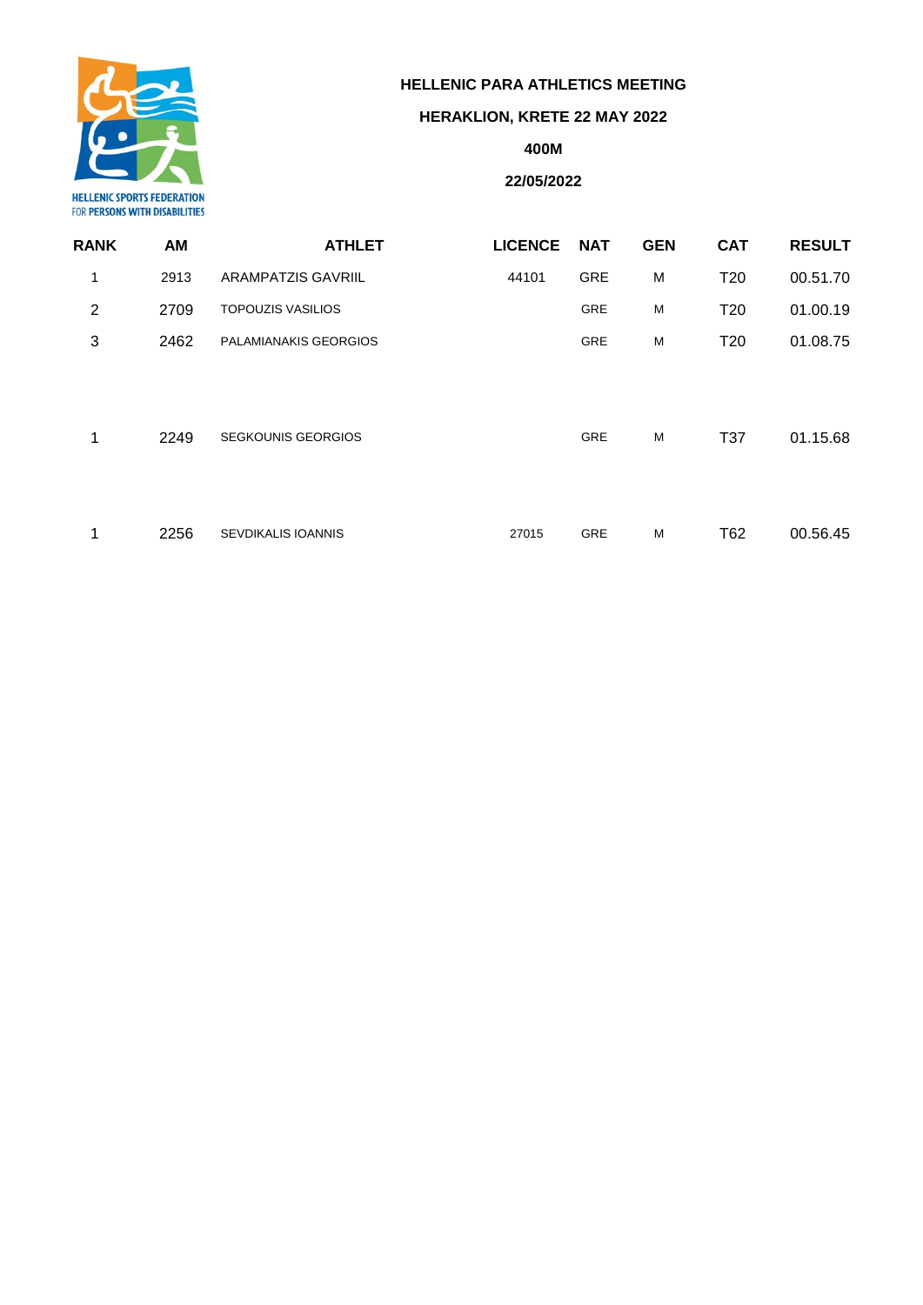

# **HERAKLION, KRETE 22 MAY 2022**

### **400M**

| <b>RANK</b> | AM   | <b>ATHLET</b>             | <b>LICENCE</b> | <b>NAT</b> | <b>GEN</b> | <b>CAT</b>      | <b>RESULT</b> |
|-------------|------|---------------------------|----------------|------------|------------|-----------------|---------------|
| 1           | 2913 | <b>ARAMPATZIS GAVRIIL</b> | 44101          | <b>GRE</b> | M          | T <sub>20</sub> | 00.51.70      |
| 2           | 2709 | <b>TOPOUZIS VASILIOS</b>  |                | GRE        | м          | T <sub>20</sub> | 01.00.19      |
| 3           | 2462 | PALAMIANAKIS GEORGIOS     |                | <b>GRE</b> | M          | T <sub>20</sub> | 01.08.75      |
| 1           | 2249 | <b>SEGKOUNIS GEORGIOS</b> |                | <b>GRE</b> | M          | T37             | 01.15.68      |
| 1           | 2256 | <b>SEVDIKALIS IOANNIS</b> | 27015          | GRE        | M          | T62             | 00.56.45      |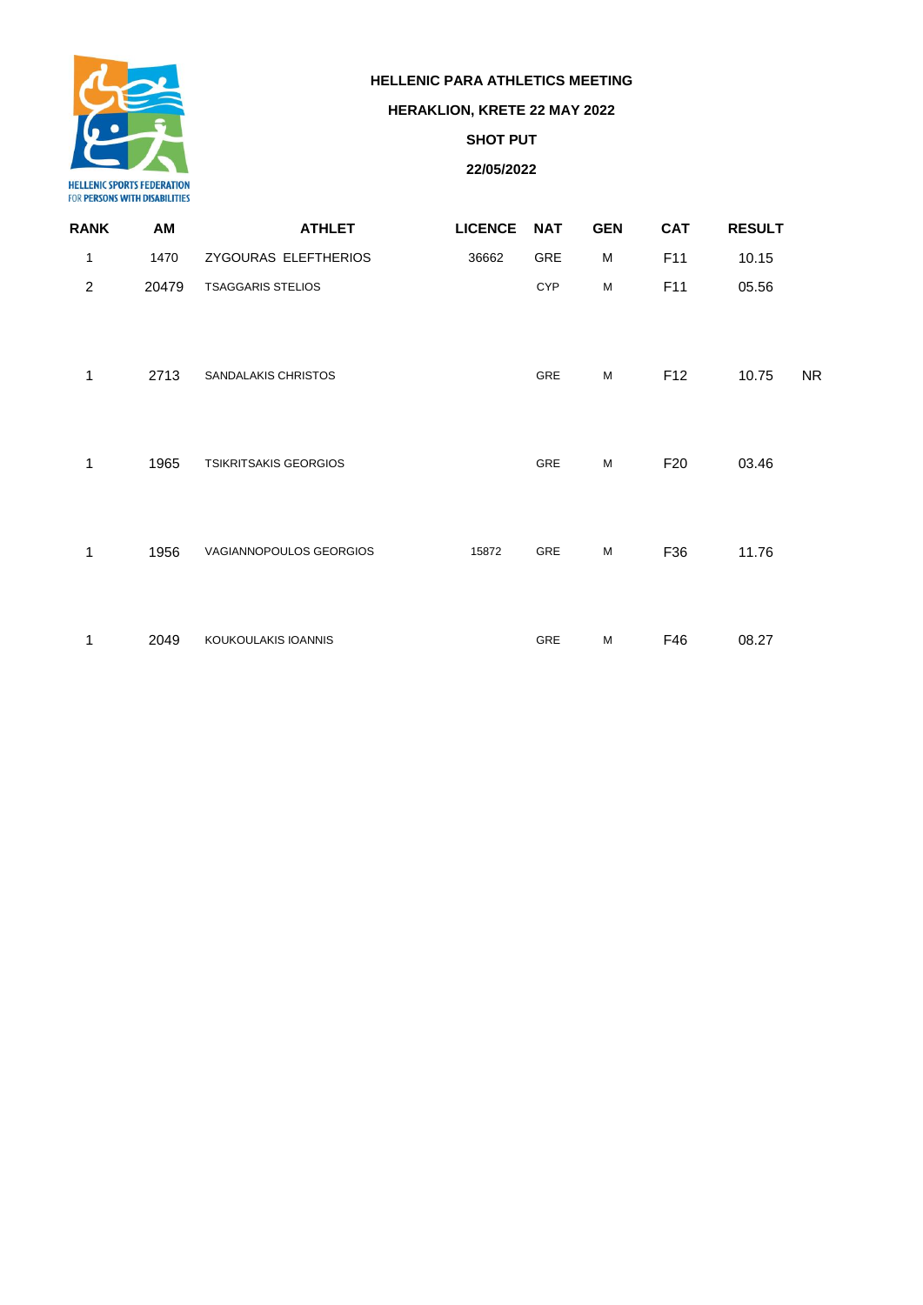

### **HERAKLION, KRETE 22 MAY 2022**

### **SHOT PUT**

| <b>RANK</b>    | AM    | <b>ATHLET</b>                | <b>LICENCE</b> | <b>NAT</b> | <b>GEN</b> | <b>CAT</b>      | <b>RESULT</b> |           |
|----------------|-------|------------------------------|----------------|------------|------------|-----------------|---------------|-----------|
| $\mathbf{1}$   | 1470  | ZYGOURAS ELEFTHERIOS         | 36662          | GRE        | M          | F11             | 10.15         |           |
| $\overline{2}$ | 20479 | <b>TSAGGARIS STELIOS</b>     |                | <b>CYP</b> | M          | F11             | 05.56         |           |
| 1              | 2713  | SANDALAKIS CHRISTOS          |                | GRE        | M          | F <sub>12</sub> | 10.75         | <b>NR</b> |
| 1              | 1965  | <b>TSIKRITSAKIS GEORGIOS</b> |                | GRE        | M          | F <sub>20</sub> | 03.46         |           |
| 1              | 1956  | VAGIANNOPOULOS GEORGIOS      | 15872          | GRE        | M          | F36             | 11.76         |           |
| 1              | 2049  | KOUKOULAKIS IOANNIS          |                | GRE        | M          | F46             | 08.27         |           |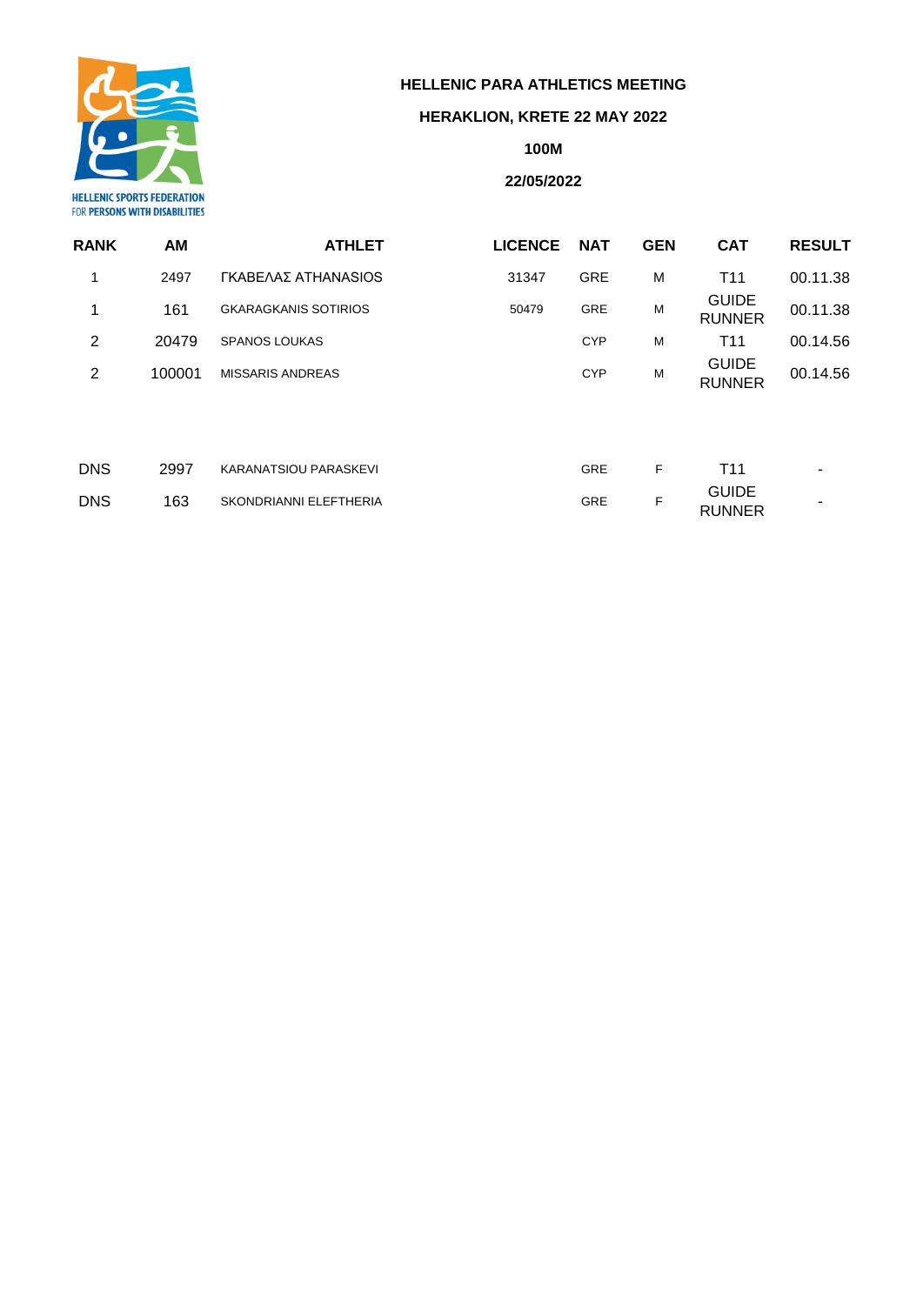

# **HERAKLION, KRETE 22 MAY 2022**

### **100M**

| <b>RANK</b> | ΑM     | <b>ATHLET</b>               | <b>LICENCE</b> | <b>NAT</b> | <b>GEN</b> | <b>CAT</b>                    | <b>RESULT</b> |
|-------------|--------|-----------------------------|----------------|------------|------------|-------------------------------|---------------|
|             | 2497   | ΓΚΑΒΕΛΑΣ ΑΤΗΑΝΑSIOS         | 31347          | GRE        | M          | T <sub>11</sub>               | 00.11.38      |
|             | 161    | <b>GKARAGKANIS SOTIRIOS</b> | 50479          | <b>GRE</b> | M          | <b>GUIDE</b><br><b>RUNNER</b> | 00.11.38      |
| 2           | 20479  | <b>SPANOS LOUKAS</b>        |                | <b>CYP</b> | M          | T11                           | 00.14.56      |
| 2           | 100001 | <b>MISSARIS ANDREAS</b>     |                | <b>CYP</b> | M          | <b>GUIDE</b><br><b>RUNNER</b> | 00.14.56      |

| <b>DNS</b> | 2997 | KARANATSIOU PARASKEVI  | <b>GRE</b> | T11                           | $\overline{\phantom{a}}$ |
|------------|------|------------------------|------------|-------------------------------|--------------------------|
| <b>DNS</b> | 163  | SKONDRIANNI ELEFTHERIA | <b>GRE</b> | <b>GUIDE</b><br><b>RUNNER</b> | -                        |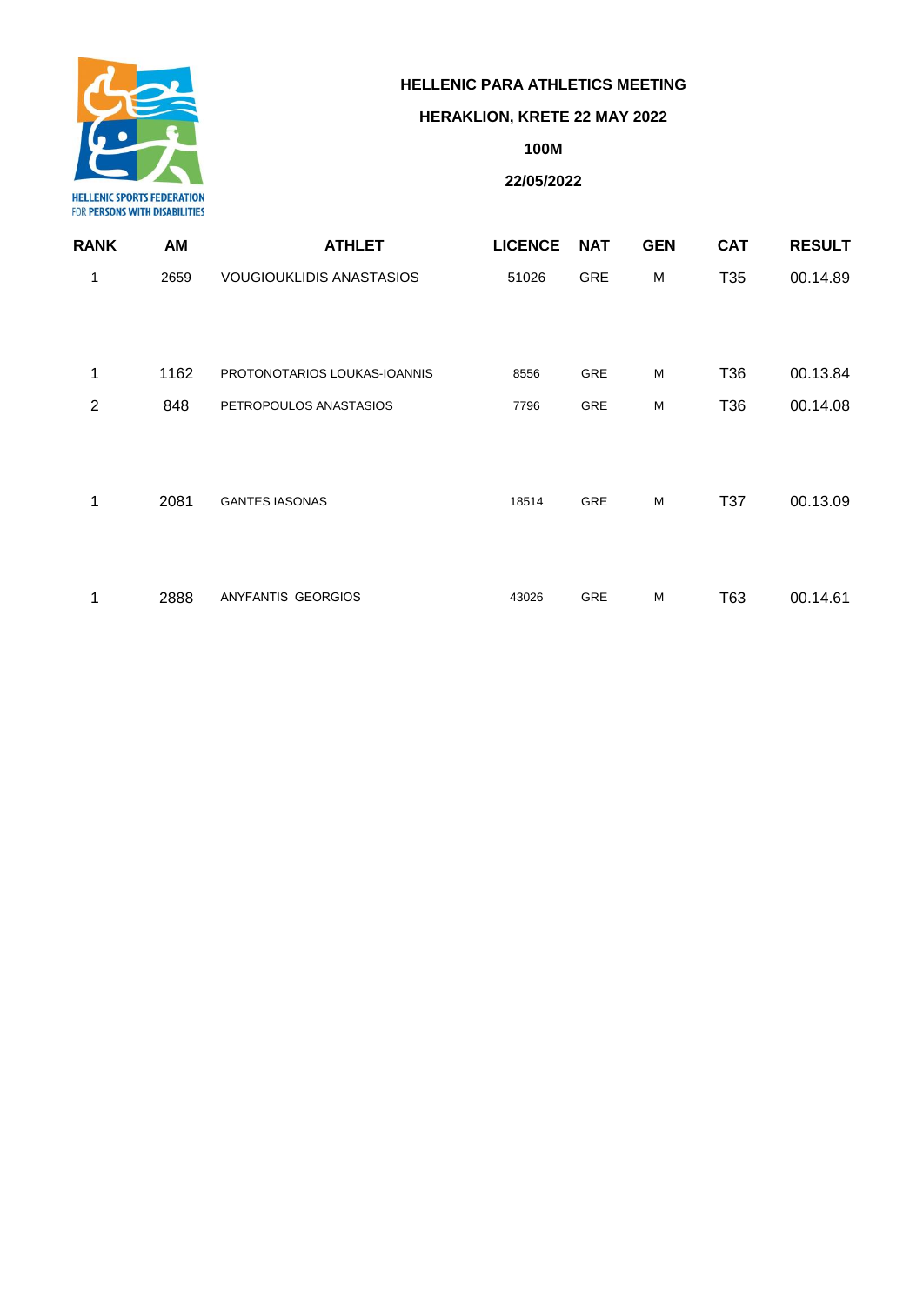

# **HERAKLION, KRETE 22 MAY 2022**

### **100M**

| <b>RANK</b> | AM   | <b>ATHLET</b>                   | <b>LICENCE</b> | <b>NAT</b> | <b>GEN</b> | <b>CAT</b>      | <b>RESULT</b> |
|-------------|------|---------------------------------|----------------|------------|------------|-----------------|---------------|
| 1           | 2659 | <b>VOUGIOUKLIDIS ANASTASIOS</b> | 51026          | <b>GRE</b> | M          | T <sub>35</sub> | 00.14.89      |
|             |      |                                 |                |            |            |                 |               |
| 1           | 1162 | PROTONOTARIOS LOUKAS-IOANNIS    | 8556           | <b>GRE</b> | M          | T36             | 00.13.84      |
| 2           | 848  | PETROPOULOS ANASTASIOS          | 7796           | <b>GRE</b> | M          | T36             | 00.14.08      |
|             |      |                                 |                |            |            |                 |               |
| 1           | 2081 | <b>GANTES IASONAS</b>           | 18514          | <b>GRE</b> | M          | T37             | 00.13.09      |
|             |      |                                 |                |            |            |                 |               |
|             |      |                                 |                |            |            |                 |               |
| 1           | 2888 | ANYFANTIS GEORGIOS              | 43026          | GRE        | M          | T63             | 00.14.61      |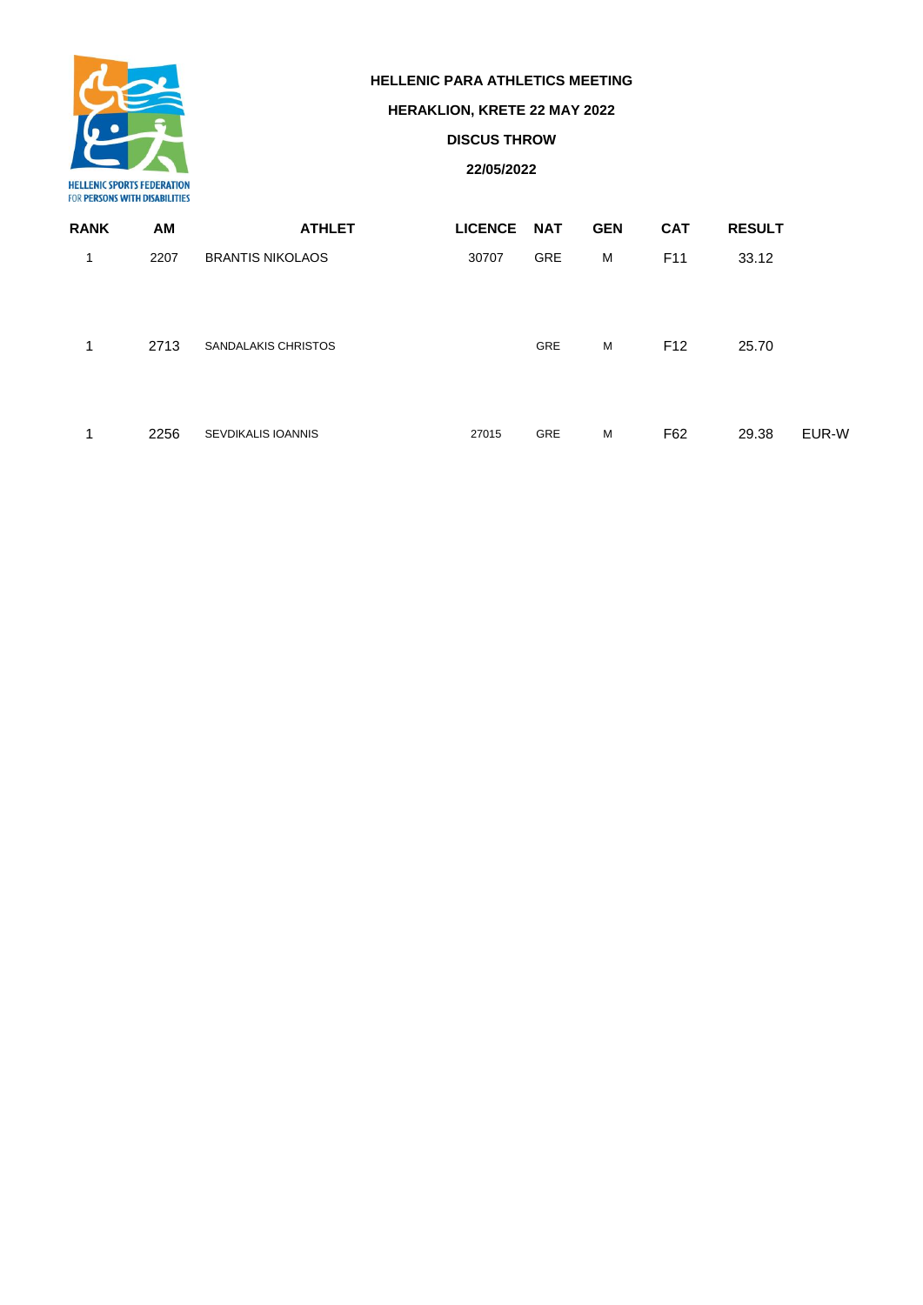

### **HERAKLION, KRETE 22 MAY 2022**

### **DISCUS THROW**

| <b>RANK</b> | AM   | <b>ATHLET</b>             | <b>LICENCE</b> | <b>NAT</b> | <b>GEN</b> | <b>CAT</b>      | <b>RESULT</b> |       |
|-------------|------|---------------------------|----------------|------------|------------|-----------------|---------------|-------|
| 1           | 2207 | <b>BRANTIS NIKOLAOS</b>   | 30707          | <b>GRE</b> | м          | F <sub>11</sub> | 33.12         |       |
| 1           | 2713 | SANDALAKIS CHRISTOS       |                | <b>GRE</b> | М          | F <sub>12</sub> | 25.70         |       |
| 1           | 2256 | <b>SEVDIKALIS IOANNIS</b> | 27015          | GRE        | М          | F62             | 29.38         | EUR-W |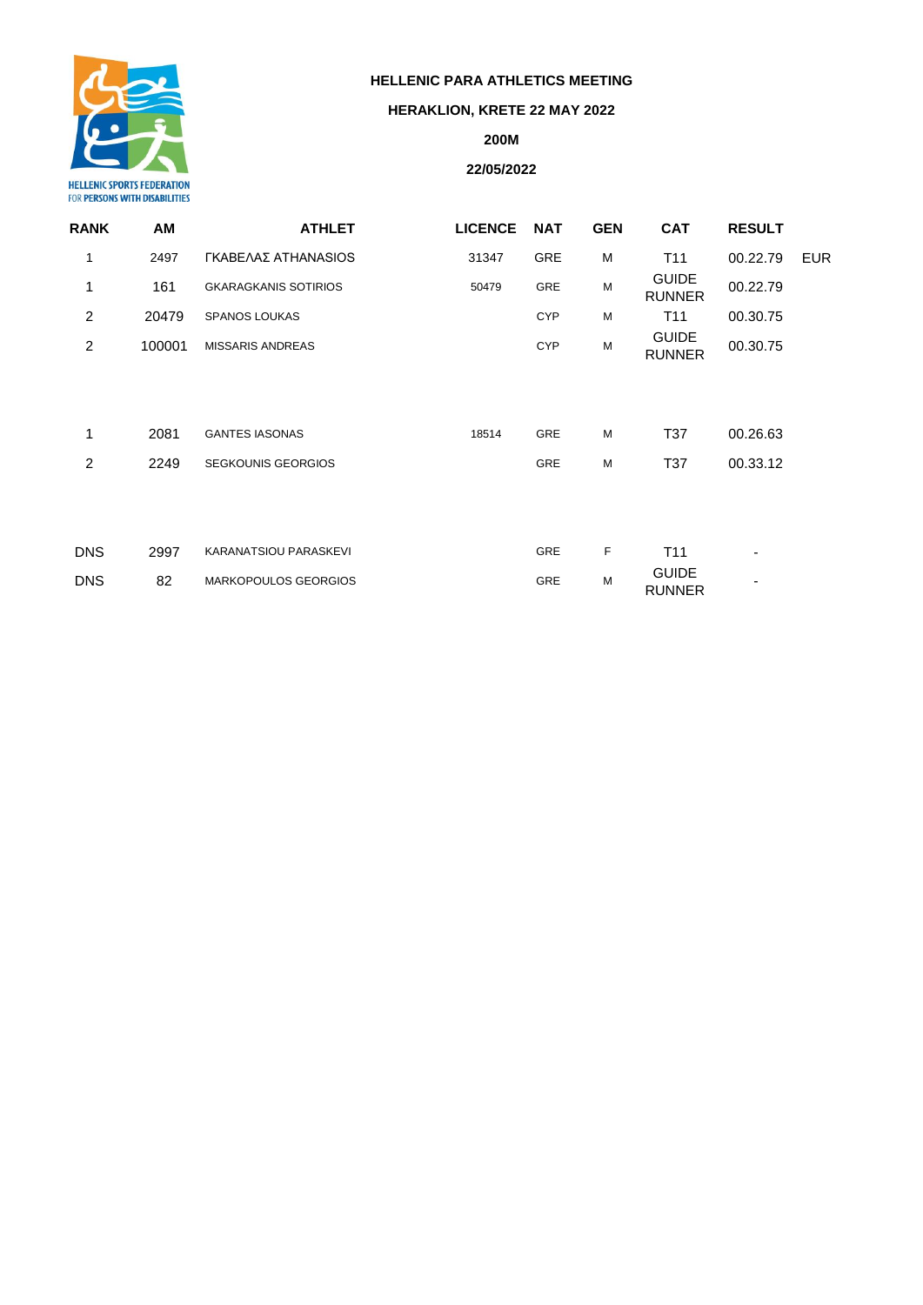

### **HERAKLION, KRETE 22 MAY 2022**

#### **200M**

| <b>RANK</b>    | AM     | <b>ATHLET</b>               | <b>LICENCE</b> | <b>NAT</b> | <b>GEN</b> | <b>CAT</b>                    | <b>RESULT</b> |            |
|----------------|--------|-----------------------------|----------------|------------|------------|-------------------------------|---------------|------------|
| 1              | 2497   | ΓΚΑΒΕΛΑΣ ΑΤΗΑΝΑSIOS         | 31347          | GRE        | M          | T11                           | 00.22.79      | <b>EUR</b> |
| 1              | 161    | <b>GKARAGKANIS SOTIRIOS</b> | 50479          | GRE        | M          | <b>GUIDE</b><br><b>RUNNER</b> | 00.22.79      |            |
| $\overline{2}$ | 20479  | <b>SPANOS LOUKAS</b>        |                | <b>CYP</b> | M          | T11                           | 00.30.75      |            |
| $\overline{2}$ | 100001 | <b>MISSARIS ANDREAS</b>     |                | <b>CYP</b> | M          | <b>GUIDE</b><br><b>RUNNER</b> | 00.30.75      |            |
|                |        |                             |                |            |            |                               |               |            |
| 1              | 2081   | <b>GANTES IASONAS</b>       | 18514          | GRE        | M          | T37                           | 00.26.63      |            |
| 2              | 2249   | <b>SEGKOUNIS GEORGIOS</b>   |                | <b>GRE</b> | M          | T37                           | 00.33.12      |            |
|                |        |                             |                |            |            |                               |               |            |
| <b>DNS</b>     | 2997   | KARANATSIOU PARASKEVI       |                | <b>GRE</b> | F          | T11                           | ٠             |            |
| <b>DNS</b>     | 82     | MARKOPOULOS GEORGIOS        |                | GRE        | M          | <b>GUIDE</b><br><b>RUNNER</b> | -             |            |